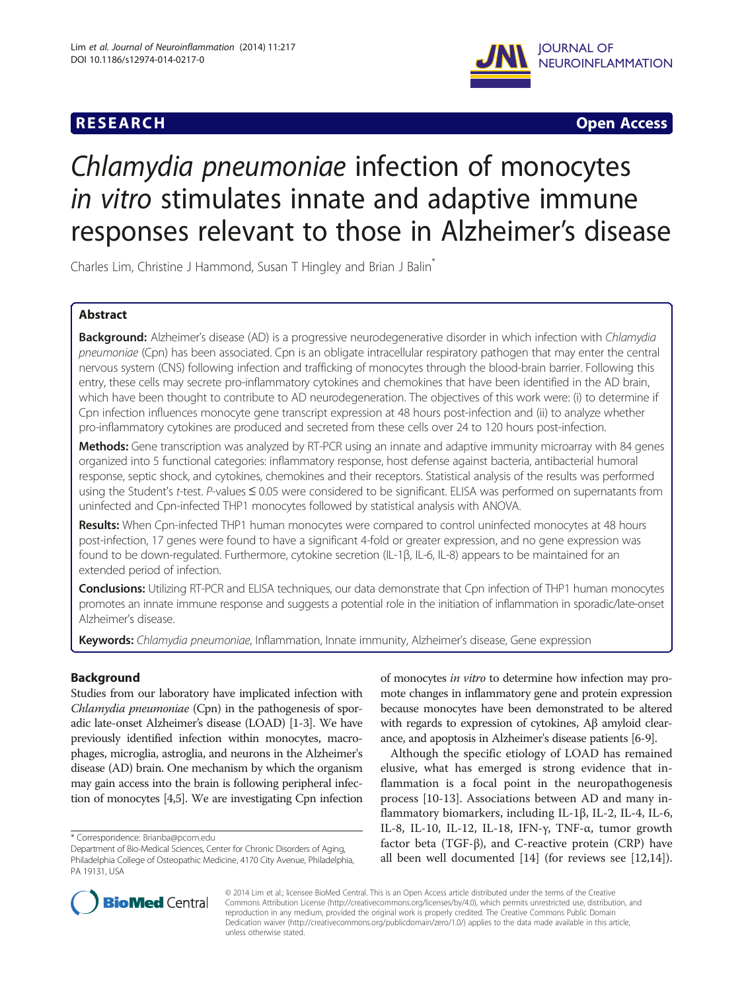## **RESEARCH RESEARCH** *CHECK CHECK CHECK CHECK CHECK CHECK CHECK CHECK CHECK CHECK CHECK CHECK CHECK CHECK CHECK CHECK CHECK CHECK CHECK CHECK CHECK CHECK CHECK CHECK CHECK CHECK CHECK CHECK CHECK CHECK CHECK CHECK CHECK*



# Chlamydia pneumoniae infection of monocytes in vitro stimulates innate and adaptive immune responses relevant to those in Alzheimer's disease

Charles Lim, Christine J Hammond, Susan T Hingley and Brian J Balin<sup>®</sup>

## Abstract

Background: Alzheimer's disease (AD) is a progressive neurodegenerative disorder in which infection with Chlamydia pneumoniae (Cpn) has been associated. Cpn is an obligate intracellular respiratory pathogen that may enter the central nervous system (CNS) following infection and trafficking of monocytes through the blood-brain barrier. Following this entry, these cells may secrete pro-inflammatory cytokines and chemokines that have been identified in the AD brain, which have been thought to contribute to AD neurodegeneration. The objectives of this work were: (i) to determine if Cpn infection influences monocyte gene transcript expression at 48 hours post-infection and (ii) to analyze whether pro-inflammatory cytokines are produced and secreted from these cells over 24 to 120 hours post-infection.

Methods: Gene transcription was analyzed by RT-PCR using an innate and adaptive immunity microarray with 84 genes organized into 5 functional categories: inflammatory response, host defense against bacteria, antibacterial humoral response, septic shock, and cytokines, chemokines and their receptors. Statistical analysis of the results was performed using the Student's t-test. P-values ≤ 0.05 were considered to be significant. ELISA was performed on supernatants from uninfected and Cpn-infected THP1 monocytes followed by statistical analysis with ANOVA.

Results: When Cpn-infected THP1 human monocytes were compared to control uninfected monocytes at 48 hours post-infection, 17 genes were found to have a significant 4-fold or greater expression, and no gene expression was found to be down-regulated. Furthermore, cytokine secretion (IL-1β, IL-6, IL-8) appears to be maintained for an extended period of infection.

Conclusions: Utilizing RT-PCR and ELISA techniques, our data demonstrate that Cpn infection of THP1 human monocytes promotes an innate immune response and suggests a potential role in the initiation of inflammation in sporadic/late-onset Alzheimer's disease.

Keywords: Chlamydia pneumoniae, Inflammation, Innate immunity, Alzheimer's disease, Gene expression

## **Background**

Studies from our laboratory have implicated infection with Chlamydia pneumoniae (Cpn) in the pathogenesis of sporadic late-onset Alzheimer's disease (LOAD) [[1](#page-8-0)-[3](#page-8-0)]. We have previously identified infection within monocytes, macrophages, microglia, astroglia, and neurons in the Alzheimer's disease (AD) brain. One mechanism by which the organism may gain access into the brain is following peripheral infection of monocytes [\[4,5](#page-9-0)]. We are investigating Cpn infection

of monocytes in vitro to determine how infection may promote changes in inflammatory gene and protein expression because monocytes have been demonstrated to be altered with regards to expression of cytokines, Aβ amyloid clearance, and apoptosis in Alzheimer's disease patients [\[6](#page-9-0)-[9](#page-9-0)].

Although the specific etiology of LOAD has remained elusive, what has emerged is strong evidence that inflammation is a focal point in the neuropathogenesis process [[10-13\]](#page-9-0). Associations between AD and many inflammatory biomarkers, including IL-1β, IL-2, IL-4, IL-6, IL-8, IL-10, IL-12, IL-18, IFN-γ, TNF-α, tumor growth factor beta (TGF-β), and C-reactive protein (CRP) have all been well documented [\[14\]](#page-9-0) (for reviews see [\[12,14](#page-9-0)]).



© 2014 Lim et al.; licensee BioMed Central. This is an Open Access article distributed under the terms of the Creative Commons Attribution License [\(http://creativecommons.org/licenses/by/4.0\)](http://creativecommons.org/licenses/by/4.0), which permits unrestricted use, distribution, and reproduction in any medium, provided the original work is properly credited. The Creative Commons Public Domain Dedication waiver [\(http://creativecommons.org/publicdomain/zero/1.0/](http://creativecommons.org/publicdomain/zero/1.0/)) applies to the data made available in this article, unless otherwise stated.

<sup>\*</sup> Correspondence: [Brianba@pcom.edu](mailto:Brianba@pcom.edu)

Department of Bio-Medical Sciences, Center for Chronic Disorders of Aging, Philadelphia College of Osteopathic Medicine, 4170 City Avenue, Philadelphia, PA 19131, USA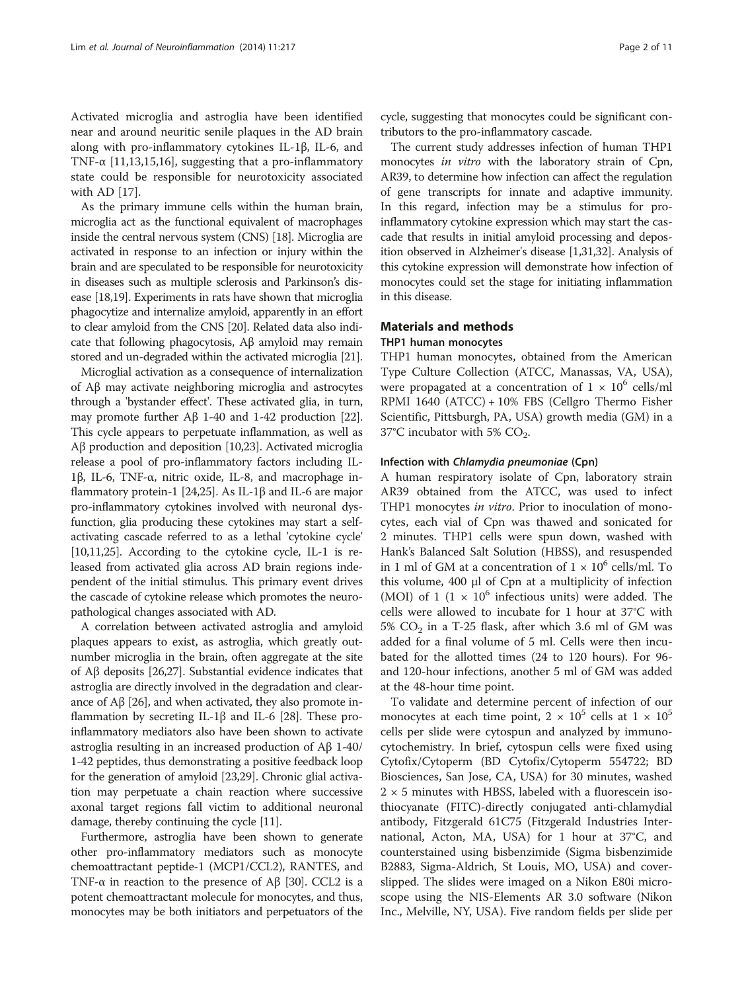Activated microglia and astroglia have been identified near and around neuritic senile plaques in the AD brain along with pro-inflammatory cytokines IL-1β, IL-6, and TNF- $\alpha$  [\[11,13,15,16\]](#page-9-0), suggesting that a pro-inflammatory state could be responsible for neurotoxicity associated with AD [[17\]](#page-9-0).

As the primary immune cells within the human brain, microglia act as the functional equivalent of macrophages inside the central nervous system (CNS) [\[18](#page-9-0)]. Microglia are activated in response to an infection or injury within the brain and are speculated to be responsible for neurotoxicity in diseases such as multiple sclerosis and Parkinson's disease [[18,19\]](#page-9-0). Experiments in rats have shown that microglia phagocytize and internalize amyloid, apparently in an effort to clear amyloid from the CNS [\[20\]](#page-9-0). Related data also indicate that following phagocytosis, Aβ amyloid may remain stored and un-degraded within the activated microglia [[21](#page-9-0)].

Microglial activation as a consequence of internalization of Aβ may activate neighboring microglia and astrocytes through a 'bystander effect'. These activated glia, in turn, may promote further Aβ 1-40 and 1-42 production [[22](#page-9-0)]. This cycle appears to perpetuate inflammation, as well as Aβ production and deposition [\[10,23\]](#page-9-0). Activated microglia release a pool of pro-inflammatory factors including IL-1β, IL-6, TNF-α, nitric oxide, IL-8, and macrophage inflammatory protein-1 [\[24,25\]](#page-9-0). As IL-1β and IL-6 are major pro-inflammatory cytokines involved with neuronal dysfunction, glia producing these cytokines may start a selfactivating cascade referred to as a lethal 'cytokine cycle' [[10,11,25\]](#page-9-0). According to the cytokine cycle, IL-1 is released from activated glia across AD brain regions independent of the initial stimulus. This primary event drives the cascade of cytokine release which promotes the neuropathological changes associated with AD.

A correlation between activated astroglia and amyloid plaques appears to exist, as astroglia, which greatly outnumber microglia in the brain, often aggregate at the site of Aβ deposits [[26](#page-9-0),[27](#page-9-0)]. Substantial evidence indicates that astroglia are directly involved in the degradation and clearance of Aβ [[26](#page-9-0)], and when activated, they also promote inflammation by secreting IL-1β and IL-6 [\[28\]](#page-9-0). These proinflammatory mediators also have been shown to activate astroglia resulting in an increased production of Aβ 1-40/ 1-42 peptides, thus demonstrating a positive feedback loop for the generation of amyloid [\[23,29](#page-9-0)]. Chronic glial activation may perpetuate a chain reaction where successive axonal target regions fall victim to additional neuronal damage, thereby continuing the cycle [[11\]](#page-9-0).

Furthermore, astroglia have been shown to generate other pro-inflammatory mediators such as monocyte chemoattractant peptide-1 (MCP1/CCL2), RANTES, and TNF-α in reaction to the presence of Aβ [\[30\]](#page-9-0). CCL2 is a potent chemoattractant molecule for monocytes, and thus, monocytes may be both initiators and perpetuators of the

cycle, suggesting that monocytes could be significant contributors to the pro-inflammatory cascade.

The current study addresses infection of human THP1 monocytes in vitro with the laboratory strain of Cpn, AR39, to determine how infection can affect the regulation of gene transcripts for innate and adaptive immunity. In this regard, infection may be a stimulus for proinflammatory cytokine expression which may start the cascade that results in initial amyloid processing and deposition observed in Alzheimer's disease [[1,](#page-8-0)[31,32\]](#page-9-0). Analysis of this cytokine expression will demonstrate how infection of monocytes could set the stage for initiating inflammation in this disease.

## Materials and methods

#### THP1 human monocytes

THP1 human monocytes, obtained from the American Type Culture Collection (ATCC, Manassas, VA, USA), were propagated at a concentration of  $1 \times 10^6$  cells/ml RPMI 1640 (ATCC) + 10% FBS (Cellgro Thermo Fisher Scientific, Pittsburgh, PA, USA) growth media (GM) in a 37°C incubator with 5%  $CO<sub>2</sub>$ .

#### Infection with Chlamydia pneumoniae (Cpn)

A human respiratory isolate of Cpn, laboratory strain AR39 obtained from the ATCC, was used to infect THP1 monocytes in vitro. Prior to inoculation of monocytes, each vial of Cpn was thawed and sonicated for 2 minutes. THP1 cells were spun down, washed with Hank's Balanced Salt Solution (HBSS), and resuspended in 1 ml of GM at a concentration of  $1 \times 10^6$  cells/ml. To this volume, 400 μl of Cpn at a multiplicity of infection (MOI) of 1 (1  $\times$  10<sup>6</sup> infectious units) were added. The cells were allowed to incubate for 1 hour at 37°C with 5%  $CO<sub>2</sub>$  in a T-25 flask, after which 3.6 ml of GM was added for a final volume of 5 ml. Cells were then incubated for the allotted times (24 to 120 hours). For 96 and 120-hour infections, another 5 ml of GM was added at the 48-hour time point.

To validate and determine percent of infection of our monocytes at each time point,  $2 \times 10^5$  cells at  $1 \times 10^5$ cells per slide were cytospun and analyzed by immunocytochemistry. In brief, cytospun cells were fixed using Cytofix/Cytoperm (BD Cytofix/Cytoperm 554722; BD Biosciences, San Jose, CA, USA) for 30 minutes, washed  $2 \times 5$  minutes with HBSS, labeled with a fluorescein isothiocyanate (FITC)-directly conjugated anti-chlamydial antibody, Fitzgerald 61C75 (Fitzgerald Industries International, Acton, MA, USA) for 1 hour at 37°C, and counterstained using bisbenzimide (Sigma bisbenzimide B2883, Sigma-Aldrich, St Louis, MO, USA) and coverslipped. The slides were imaged on a Nikon E80i microscope using the NIS-Elements AR 3.0 software (Nikon Inc., Melville, NY, USA). Five random fields per slide per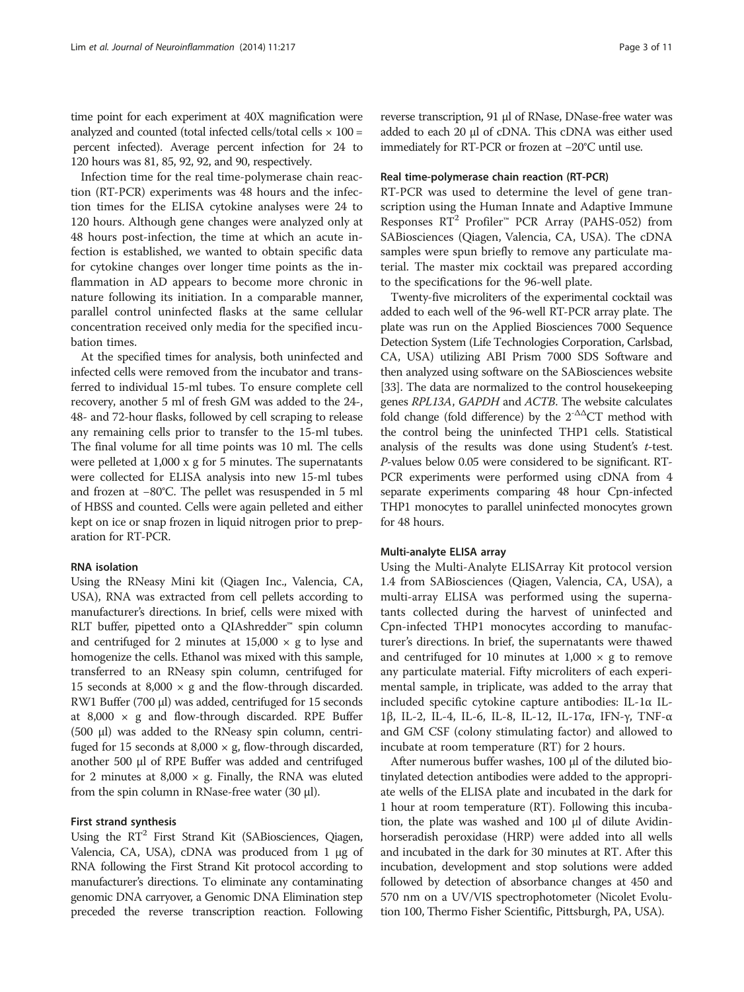time point for each experiment at 40X magnification were analyzed and counted (total infected cells/total cells  $\times$  100 = percent infected). Average percent infection for 24 to 120 hours was 81, 85, 92, 92, and 90, respectively.

Infection time for the real time-polymerase chain reaction (RT-PCR) experiments was 48 hours and the infection times for the ELISA cytokine analyses were 24 to 120 hours. Although gene changes were analyzed only at 48 hours post-infection, the time at which an acute infection is established, we wanted to obtain specific data for cytokine changes over longer time points as the inflammation in AD appears to become more chronic in nature following its initiation. In a comparable manner, parallel control uninfected flasks at the same cellular concentration received only media for the specified incubation times.

At the specified times for analysis, both uninfected and infected cells were removed from the incubator and transferred to individual 15-ml tubes. To ensure complete cell recovery, another 5 ml of fresh GM was added to the 24-, 48- and 72-hour flasks, followed by cell scraping to release any remaining cells prior to transfer to the 15-ml tubes. The final volume for all time points was 10 ml. The cells were pelleted at 1,000 x g for 5 minutes. The supernatants were collected for ELISA analysis into new 15-ml tubes and frozen at −80°C. The pellet was resuspended in 5 ml of HBSS and counted. Cells were again pelleted and either kept on ice or snap frozen in liquid nitrogen prior to preparation for RT-PCR.

#### RNA isolation

Using the RNeasy Mini kit (Qiagen Inc., Valencia, CA, USA), RNA was extracted from cell pellets according to manufacturer's directions. In brief, cells were mixed with RLT buffer, pipetted onto a QIAshredder™ spin column and centrifuged for 2 minutes at  $15,000 \times g$  to lyse and homogenize the cells. Ethanol was mixed with this sample, transferred to an RNeasy spin column, centrifuged for 15 seconds at 8,000  $\times$  g and the flow-through discarded. RW1 Buffer (700 μl) was added, centrifuged for 15 seconds at 8,000  $\times$  g and flow-through discarded. RPE Buffer (500 μl) was added to the RNeasy spin column, centrifuged for 15 seconds at 8,000  $\times$  g, flow-through discarded, another 500 μl of RPE Buffer was added and centrifuged for 2 minutes at  $8,000 \times g$ . Finally, the RNA was eluted from the spin column in RNase-free water  $(30 \mu l)$ .

## First strand synthesis

Using the  $RT^2$  First Strand Kit (SABiosciences, Qiagen, Valencia, CA, USA), cDNA was produced from 1 μg of RNA following the First Strand Kit protocol according to manufacturer's directions. To eliminate any contaminating genomic DNA carryover, a Genomic DNA Elimination step preceded the reverse transcription reaction. Following

reverse transcription, 91 μl of RNase, DNase-free water was added to each 20 μl of cDNA. This cDNA was either used immediately for RT-PCR or frozen at −20°C until use.

## Real time-polymerase chain reaction (RT-PCR)

RT-PCR was used to determine the level of gene transcription using the Human Innate and Adaptive Immune Responses  $RT^2$  Profiler<sup>™</sup> PCR Array (PAHS-052) from SABiosciences (Qiagen, Valencia, CA, USA). The cDNA samples were spun briefly to remove any particulate material. The master mix cocktail was prepared according to the specifications for the 96-well plate.

Twenty-five microliters of the experimental cocktail was added to each well of the 96-well RT-PCR array plate. The plate was run on the Applied Biosciences 7000 Sequence Detection System (Life Technologies Corporation, Carlsbad, CA, USA) utilizing ABI Prism 7000 SDS Software and then analyzed using software on the SABiosciences website [[33](#page-9-0)]. The data are normalized to the control housekeeping genes RPL13A, GAPDH and ACTB. The website calculates fold change (fold difference) by the  $2^{-\Delta\Delta}$ CT method with the control being the uninfected THP1 cells. Statistical analysis of the results was done using Student's t-test. P-values below 0.05 were considered to be significant. RT-PCR experiments were performed using cDNA from 4 separate experiments comparing 48 hour Cpn-infected THP1 monocytes to parallel uninfected monocytes grown for 48 hours.

#### Multi-analyte ELISA array

Using the Multi-Analyte ELISArray Kit protocol version 1.4 from SABiosciences (Qiagen, Valencia, CA, USA), a multi-array ELISA was performed using the supernatants collected during the harvest of uninfected and Cpn-infected THP1 monocytes according to manufacturer's directions. In brief, the supernatants were thawed and centrifuged for 10 minutes at  $1,000 \times g$  to remove any particulate material. Fifty microliters of each experimental sample, in triplicate, was added to the array that included specific cytokine capture antibodies: IL-1α IL-1β, IL-2, IL-4, IL-6, IL-8, IL-12, IL-17α, IFN-γ, TNF-α and GM CSF (colony stimulating factor) and allowed to incubate at room temperature (RT) for 2 hours.

After numerous buffer washes, 100 μl of the diluted biotinylated detection antibodies were added to the appropriate wells of the ELISA plate and incubated in the dark for 1 hour at room temperature (RT). Following this incubation, the plate was washed and 100 μl of dilute Avidinhorseradish peroxidase (HRP) were added into all wells and incubated in the dark for 30 minutes at RT. After this incubation, development and stop solutions were added followed by detection of absorbance changes at 450 and 570 nm on a UV/VIS spectrophotometer (Nicolet Evolution 100, Thermo Fisher Scientific, Pittsburgh, PA, USA).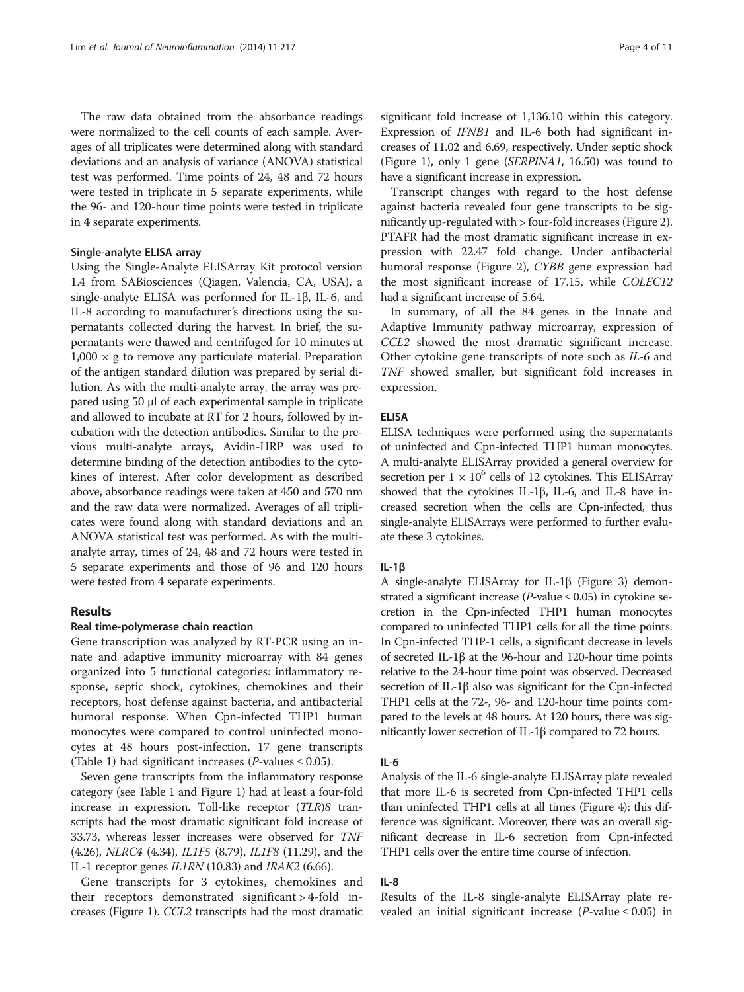The raw data obtained from the absorbance readings were normalized to the cell counts of each sample. Averages of all triplicates were determined along with standard deviations and an analysis of variance (ANOVA) statistical test was performed. Time points of 24, 48 and 72 hours were tested in triplicate in 5 separate experiments, while the 96- and 120-hour time points were tested in triplicate in 4 separate experiments.

## Single-analyte ELISA array

Using the Single-Analyte ELISArray Kit protocol version 1.4 from SABiosciences (Qiagen, Valencia, CA, USA), a single-analyte ELISA was performed for IL-1β, IL-6, and IL-8 according to manufacturer's directions using the supernatants collected during the harvest. In brief, the supernatants were thawed and centrifuged for 10 minutes at  $1,000 \times g$  to remove any particulate material. Preparation of the antigen standard dilution was prepared by serial dilution. As with the multi-analyte array, the array was prepared using 50 μl of each experimental sample in triplicate and allowed to incubate at RT for 2 hours, followed by incubation with the detection antibodies. Similar to the previous multi-analyte arrays, Avidin-HRP was used to determine binding of the detection antibodies to the cytokines of interest. After color development as described above, absorbance readings were taken at 450 and 570 nm and the raw data were normalized. Averages of all triplicates were found along with standard deviations and an ANOVA statistical test was performed. As with the multianalyte array, times of 24, 48 and 72 hours were tested in 5 separate experiments and those of 96 and 120 hours were tested from 4 separate experiments.

## Results

#### Real time-polymerase chain reaction

Gene transcription was analyzed by RT-PCR using an innate and adaptive immunity microarray with 84 genes organized into 5 functional categories: inflammatory response, septic shock, cytokines, chemokines and their receptors, host defense against bacteria, and antibacterial humoral response. When Cpn-infected THP1 human monocytes were compared to control uninfected monocytes at 48 hours post-infection, 17 gene transcripts (Table [1\)](#page-4-0) had significant increases (*P*-values  $\leq 0.05$ ).

Seven gene transcripts from the inflammatory response category (see Table [1](#page-4-0) and Figure [1](#page-4-0)) had at least a four-fold increase in expression. Toll-like receptor (TLR)8 transcripts had the most dramatic significant fold increase of 33.73, whereas lesser increases were observed for TNF (4.26), NLRC4 (4.34), IL1F5 (8.79), IL1F8 (11.29), and the IL-1 receptor genes *IL1RN* (10.83) and *IRAK2* (6.66).

Gene transcripts for 3 cytokines, chemokines and their receptors demonstrated significant > 4-fold increases (Figure [1\)](#page-4-0). CCL2 transcripts had the most dramatic significant fold increase of 1,136.10 within this category. Expression of IFNB1 and IL-6 both had significant increases of 11.02 and 6.69, respectively. Under septic shock (Figure [1\)](#page-4-0), only 1 gene (SERPINA1, 16.50) was found to have a significant increase in expression.

Transcript changes with regard to the host defense against bacteria revealed four gene transcripts to be significantly up-regulated with > four-fold increases (Figure [2](#page-5-0)). PTAFR had the most dramatic significant increase in expression with 22.47 fold change. Under antibacterial humoral response (Figure [2\)](#page-5-0), CYBB gene expression had the most significant increase of 17.15, while COLEC12 had a significant increase of 5.64.

In summary, of all the 84 genes in the Innate and Adaptive Immunity pathway microarray, expression of CCL2 showed the most dramatic significant increase. Other cytokine gene transcripts of note such as IL-6 and TNF showed smaller, but significant fold increases in expression.

#### ELISA

ELISA techniques were performed using the supernatants of uninfected and Cpn-infected THP1 human monocytes. A multi-analyte ELISArray provided a general overview for secretion per  $1 \times 10^6$  cells of 12 cytokines. This ELISArray showed that the cytokines IL-1β, IL-6, and IL-8 have increased secretion when the cells are Cpn-infected, thus single-analyte ELISArrays were performed to further evaluate these 3 cytokines.

### IL-1β

A single-analyte ELISArray for IL-1β (Figure [3\)](#page-5-0) demonstrated a significant increase ( $P$ -value  $\leq 0.05$ ) in cytokine secretion in the Cpn-infected THP1 human monocytes compared to uninfected THP1 cells for all the time points. In Cpn-infected THP-1 cells, a significant decrease in levels of secreted IL-1β at the 96-hour and 120-hour time points relative to the 24-hour time point was observed. Decreased secretion of IL-1β also was significant for the Cpn-infected THP1 cells at the 72-, 96- and 120-hour time points compared to the levels at 48 hours. At 120 hours, there was significantly lower secretion of IL-1β compared to 72 hours.

#### IL-6

Analysis of the IL-6 single-analyte ELISArray plate revealed that more IL-6 is secreted from Cpn-infected THP1 cells than uninfected THP1 cells at all times (Figure [4](#page-6-0)); this difference was significant. Moreover, there was an overall significant decrease in IL-6 secretion from Cpn-infected THP1 cells over the entire time course of infection.

## IL-8

Results of the IL-8 single-analyte ELISArray plate revealed an initial significant increase ( $P$ -value  $\leq 0.05$ ) in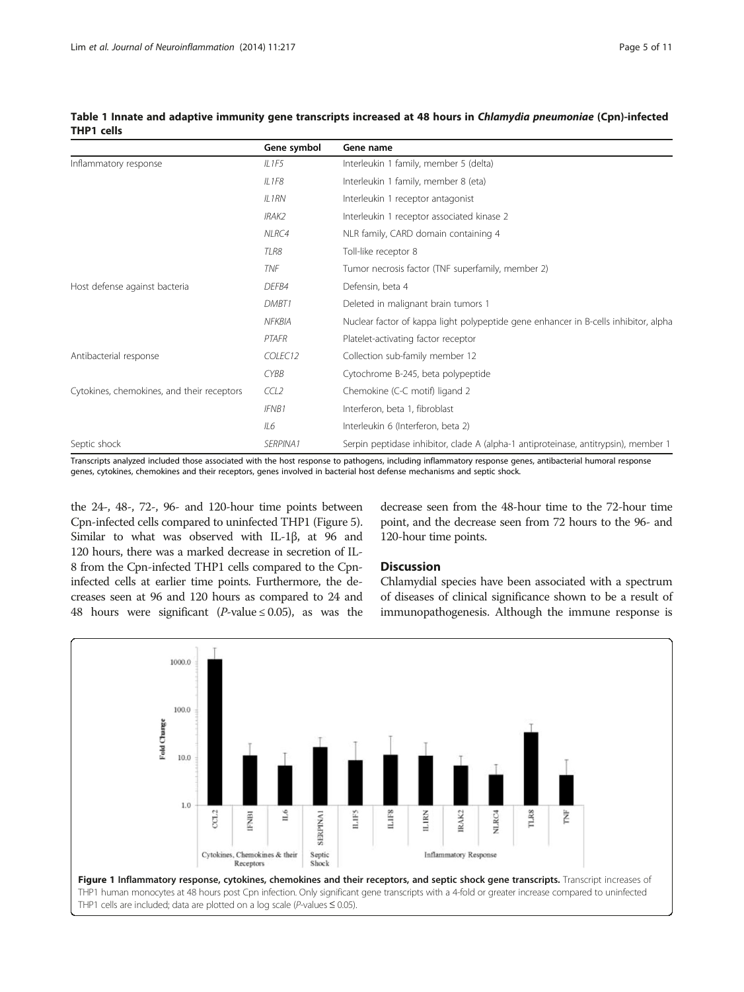|                                            | Gene symbol         | Gene name                                                                           |
|--------------------------------------------|---------------------|-------------------------------------------------------------------------------------|
| Inflammatory response                      | IL1F5               | Interleukin 1 family, member 5 (delta)                                              |
|                                            | IL1F8               | Interleukin 1 family, member 8 (eta)                                                |
|                                            | $II$ 1 $RN$         | Interleukin 1 receptor antagonist                                                   |
|                                            | IRAK2               | Interleukin 1 receptor associated kinase 2                                          |
|                                            | NLRC4               | NLR family, CARD domain containing 4                                                |
|                                            | TLR8                | Toll-like receptor 8                                                                |
|                                            | <b>TNF</b>          | Tumor necrosis factor (TNF superfamily, member 2)                                   |
| Host defense against bacteria              | DEFB4               | Defensin, beta 4                                                                    |
|                                            | DMBT1               | Deleted in malignant brain tumors 1                                                 |
|                                            | NFKBIA              | Nuclear factor of kappa light polypeptide gene enhancer in B-cells inhibitor, alpha |
|                                            | PTAFR               | Platelet-activating factor receptor                                                 |
| Antibacterial response                     | COLEC <sub>12</sub> | Collection sub-family member 12                                                     |
|                                            | <b>CYBB</b>         | Cytochrome B-245, beta polypeptide                                                  |
| Cytokines, chemokines, and their receptors | CCL2                | Chemokine (C-C motif) ligand 2                                                      |
|                                            | <b>IFNB1</b>        | Interferon, beta 1, fibroblast                                                      |
|                                            | IL6                 | Interleukin 6 (Interferon, beta 2)                                                  |
| Septic shock                               | SERPINA1            | Serpin peptidase inhibitor, clade A (alpha-1 antiproteinase, antitrypsin), member 1 |

<span id="page-4-0"></span>Table 1 Innate and adaptive immunity gene transcripts increased at 48 hours in Chlamydia pneumoniae (Cpn)-infected THP1 cells

Transcripts analyzed included those associated with the host response to pathogens, including inflammatory response genes, antibacterial humoral response genes, cytokines, chemokines and their receptors, genes involved in bacterial host defense mechanisms and septic shock.

the 24-, 48-, 72-, 96- and 120-hour time points between Cpn-infected cells compared to uninfected THP1 (Figure [5](#page-6-0)). Similar to what was observed with IL-1β, at 96 and 120 hours, there was a marked decrease in secretion of IL-8 from the Cpn-infected THP1 cells compared to the Cpninfected cells at earlier time points. Furthermore, the decreases seen at 96 and 120 hours as compared to 24 and 48 hours were significant (*P*-value  $\leq$  0.05), as was the decrease seen from the 48-hour time to the 72-hour time point, and the decrease seen from 72 hours to the 96- and 120-hour time points.

## Discussion

Chlamydial species have been associated with a spectrum of diseases of clinical significance shown to be a result of immunopathogenesis. Although the immune response is

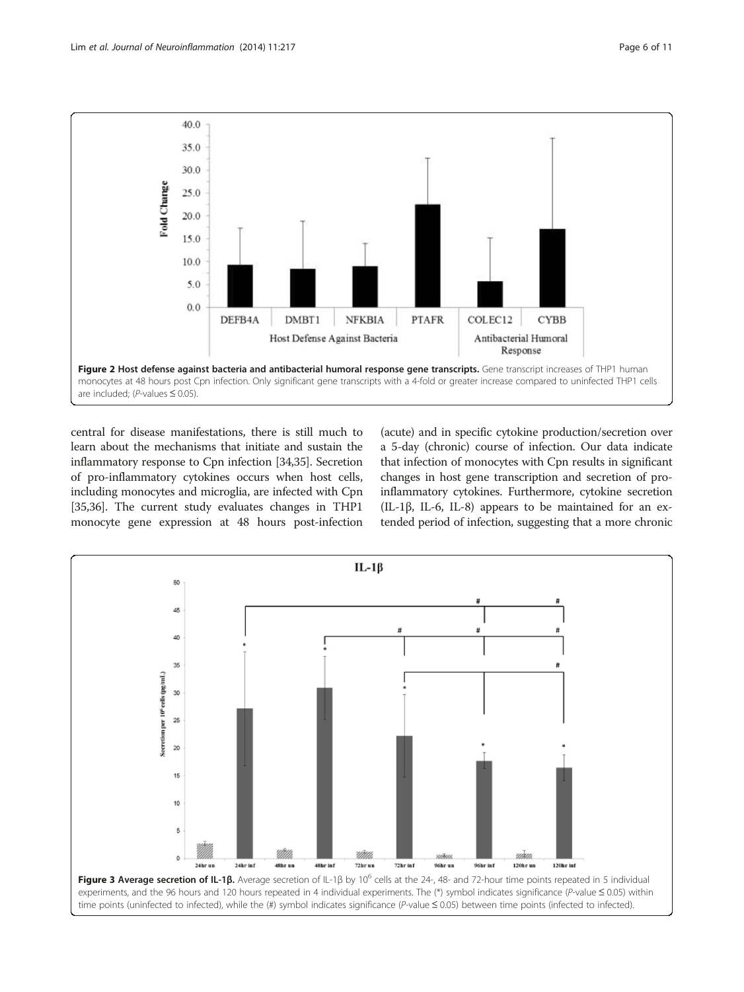<span id="page-5-0"></span>

central for disease manifestations, there is still much to learn about the mechanisms that initiate and sustain the inflammatory response to Cpn infection [[34,35\]](#page-9-0). Secretion of pro-inflammatory cytokines occurs when host cells, including monocytes and microglia, are infected with Cpn [[35,36](#page-9-0)]. The current study evaluates changes in THP1 monocyte gene expression at 48 hours post-infection

(acute) and in specific cytokine production/secretion over a 5-day (chronic) course of infection. Our data indicate that infection of monocytes with Cpn results in significant changes in host gene transcription and secretion of proinflammatory cytokines. Furthermore, cytokine secretion (IL-1β, IL-6, IL-8) appears to be maintained for an extended period of infection, suggesting that a more chronic

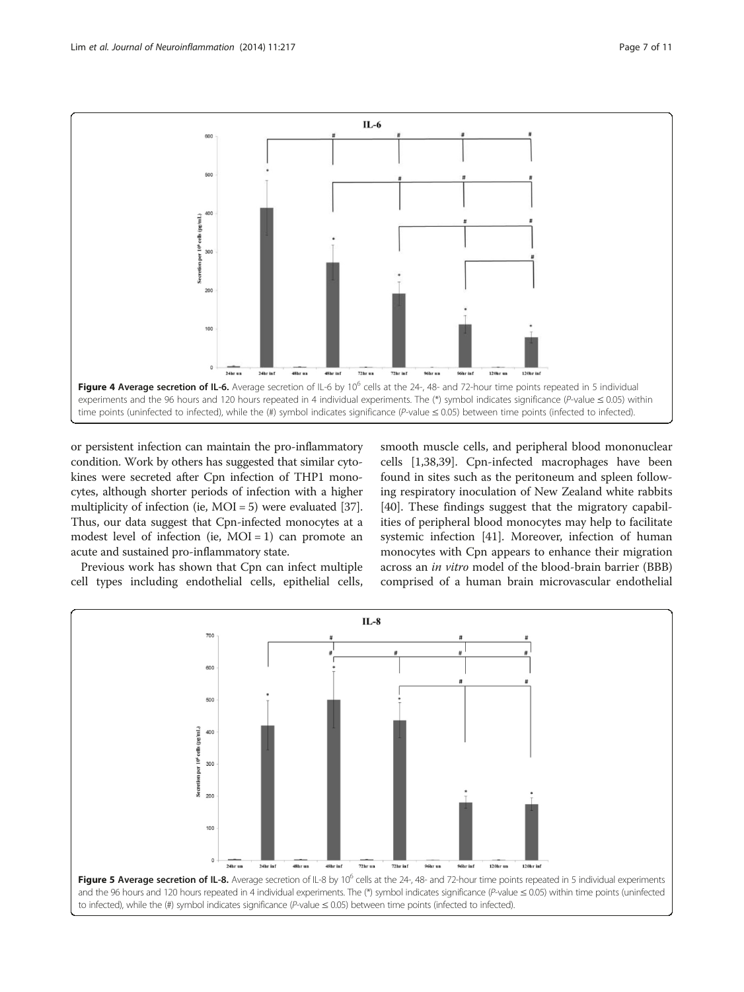<span id="page-6-0"></span>

or persistent infection can maintain the pro-inflammatory condition. Work by others has suggested that similar cytokines were secreted after Cpn infection of THP1 monocytes, although shorter periods of infection with a higher multiplicity of infection (ie, MOI = 5) were evaluated [[37](#page-9-0)]. Thus, our data suggest that Cpn-infected monocytes at a modest level of infection (ie,  $MOI = 1$ ) can promote an acute and sustained pro-inflammatory state.

Previous work has shown that Cpn can infect multiple cell types including endothelial cells, epithelial cells, smooth muscle cells, and peripheral blood mononuclear cells [\[1](#page-8-0)[,38,39](#page-9-0)]. Cpn-infected macrophages have been found in sites such as the peritoneum and spleen following respiratory inoculation of New Zealand white rabbits [[40\]](#page-9-0). These findings suggest that the migratory capabilities of peripheral blood monocytes may help to facilitate systemic infection [[41\]](#page-9-0). Moreover, infection of human monocytes with Cpn appears to enhance their migration across an in vitro model of the blood-brain barrier (BBB) comprised of a human brain microvascular endothelial

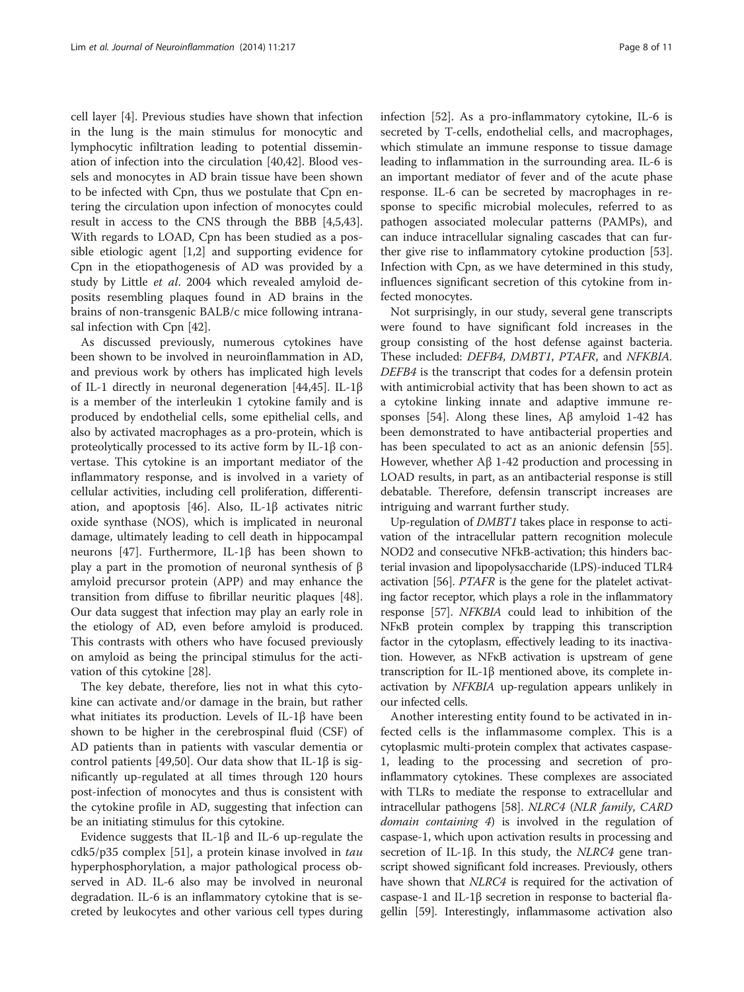cell layer [[4\]](#page-9-0). Previous studies have shown that infection in the lung is the main stimulus for monocytic and lymphocytic infiltration leading to potential dissemination of infection into the circulation [[40,42\]](#page-9-0). Blood vessels and monocytes in AD brain tissue have been shown to be infected with Cpn, thus we postulate that Cpn entering the circulation upon infection of monocytes could result in access to the CNS through the BBB [\[4,5,43](#page-9-0)]. With regards to LOAD, Cpn has been studied as a possible etiologic agent [[1](#page-8-0),[2\]](#page-8-0) and supporting evidence for Cpn in the etiopathogenesis of AD was provided by a study by Little et al. 2004 which revealed amyloid deposits resembling plaques found in AD brains in the brains of non-transgenic BALB/c mice following intranasal infection with Cpn [[42](#page-9-0)].

As discussed previously, numerous cytokines have been shown to be involved in neuroinflammation in AD, and previous work by others has implicated high levels of IL-1 directly in neuronal degeneration [\[44,45\]](#page-9-0). IL-1β is a member of the interleukin 1 cytokine family and is produced by endothelial cells, some epithelial cells, and also by activated macrophages as a pro-protein, which is proteolytically processed to its active form by IL-1β convertase. This cytokine is an important mediator of the inflammatory response, and is involved in a variety of cellular activities, including cell proliferation, differentiation, and apoptosis [\[46\]](#page-9-0). Also, IL-1β activates nitric oxide synthase (NOS), which is implicated in neuronal damage, ultimately leading to cell death in hippocampal neurons [\[47](#page-10-0)]. Furthermore, IL-1β has been shown to play a part in the promotion of neuronal synthesis of β amyloid precursor protein (APP) and may enhance the transition from diffuse to fibrillar neuritic plaques [\[48](#page-10-0)]. Our data suggest that infection may play an early role in the etiology of AD, even before amyloid is produced. This contrasts with others who have focused previously on amyloid as being the principal stimulus for the activation of this cytokine [[28\]](#page-9-0).

The key debate, therefore, lies not in what this cytokine can activate and/or damage in the brain, but rather what initiates its production. Levels of IL-1β have been shown to be higher in the cerebrospinal fluid (CSF) of AD patients than in patients with vascular dementia or control patients [[49](#page-10-0),[50](#page-10-0)]. Our data show that IL-1β is significantly up-regulated at all times through 120 hours post-infection of monocytes and thus is consistent with the cytokine profile in AD, suggesting that infection can be an initiating stimulus for this cytokine.

Evidence suggests that IL-1β and IL-6 up-regulate the cdk5/p35 complex [\[51](#page-10-0)], a protein kinase involved in tau hyperphosphorylation, a major pathological process observed in AD. IL-6 also may be involved in neuronal degradation. IL-6 is an inflammatory cytokine that is secreted by leukocytes and other various cell types during infection [\[52](#page-10-0)]. As a pro-inflammatory cytokine, IL-6 is secreted by T-cells, endothelial cells, and macrophages, which stimulate an immune response to tissue damage leading to inflammation in the surrounding area. IL-6 is an important mediator of fever and of the acute phase response. IL-6 can be secreted by macrophages in response to specific microbial molecules, referred to as pathogen associated molecular patterns (PAMPs), and can induce intracellular signaling cascades that can further give rise to inflammatory cytokine production [\[53](#page-10-0)]. Infection with Cpn, as we have determined in this study, influences significant secretion of this cytokine from infected monocytes.

Not surprisingly, in our study, several gene transcripts were found to have significant fold increases in the group consisting of the host defense against bacteria. These included: DEFB4, DMBT1, PTAFR, and NFKBIA. DEFB4 is the transcript that codes for a defensin protein with antimicrobial activity that has been shown to act as a cytokine linking innate and adaptive immune re-sponses [\[54](#page-10-0)]. Along these lines,  $\text{A}\beta$  amyloid 1-42 has been demonstrated to have antibacterial properties and has been speculated to act as an anionic defensin [\[55](#page-10-0)]. However, whether Aβ 1-42 production and processing in LOAD results, in part, as an antibacterial response is still debatable. Therefore, defensin transcript increases are intriguing and warrant further study.

Up-regulation of DMBT1 takes place in response to activation of the intracellular pattern recognition molecule NOD2 and consecutive NFkB-activation; this hinders bacterial invasion and lipopolysaccharide (LPS)-induced TLR4 activation [[56](#page-10-0)]. PTAFR is the gene for the platelet activating factor receptor, which plays a role in the inflammatory response [\[57\]](#page-10-0). NFKBIA could lead to inhibition of the NFκB protein complex by trapping this transcription factor in the cytoplasm, effectively leading to its inactivation. However, as NFκB activation is upstream of gene transcription for IL-1β mentioned above, its complete inactivation by NFKBIA up-regulation appears unlikely in our infected cells.

Another interesting entity found to be activated in infected cells is the inflammasome complex. This is a cytoplasmic multi-protein complex that activates caspase-1, leading to the processing and secretion of proinflammatory cytokines. These complexes are associated with TLRs to mediate the response to extracellular and intracellular pathogens [\[58\]](#page-10-0). NLRC4 (NLR family, CARD domain containing 4) is involved in the regulation of caspase-1, which upon activation results in processing and secretion of IL-1β. In this study, the *NLRC4* gene transcript showed significant fold increases. Previously, others have shown that *NLRC4* is required for the activation of caspase-1 and IL-1β secretion in response to bacterial flagellin [\[59](#page-10-0)]. Interestingly, inflammasome activation also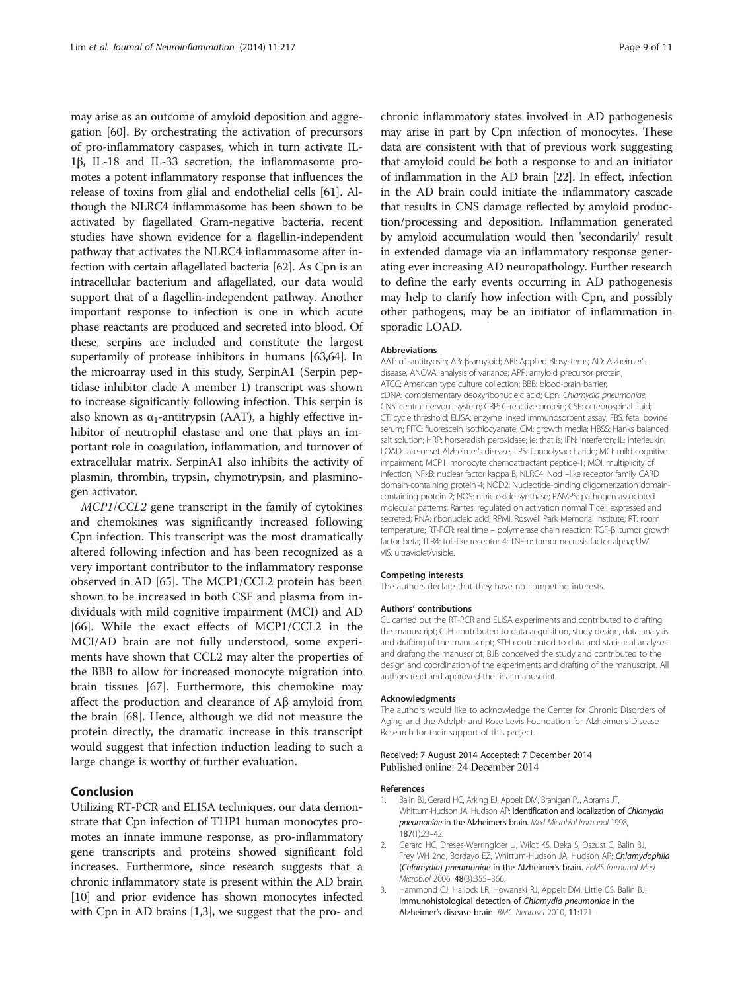<span id="page-8-0"></span>may arise as an outcome of amyloid deposition and aggregation [\[60](#page-10-0)]. By orchestrating the activation of precursors of pro-inflammatory caspases, which in turn activate IL-1β, IL-18 and IL-33 secretion, the inflammasome promotes a potent inflammatory response that influences the release of toxins from glial and endothelial cells [\[61\]](#page-10-0). Although the NLRC4 inflammasome has been shown to be activated by flagellated Gram-negative bacteria, recent studies have shown evidence for a flagellin-independent pathway that activates the NLRC4 inflammasome after infection with certain aflagellated bacteria [\[62\]](#page-10-0). As Cpn is an intracellular bacterium and aflagellated, our data would support that of a flagellin-independent pathway. Another important response to infection is one in which acute phase reactants are produced and secreted into blood. Of these, serpins are included and constitute the largest superfamily of protease inhibitors in humans [\[63,64](#page-10-0)]. In the microarray used in this study, SerpinA1 (Serpin peptidase inhibitor clade A member 1) transcript was shown to increase significantly following infection. This serpin is also known as  $\alpha_1$ -antitrypsin (AAT), a highly effective inhibitor of neutrophil elastase and one that plays an important role in coagulation, inflammation, and turnover of extracellular matrix. SerpinA1 also inhibits the activity of plasmin, thrombin, trypsin, chymotrypsin, and plasminogen activator.

MCP1/CCL2 gene transcript in the family of cytokines and chemokines was significantly increased following Cpn infection. This transcript was the most dramatically altered following infection and has been recognized as a very important contributor to the inflammatory response observed in AD [[65\]](#page-10-0). The MCP1/CCL2 protein has been shown to be increased in both CSF and plasma from individuals with mild cognitive impairment (MCI) and AD [[66\]](#page-10-0). While the exact effects of MCP1/CCL2 in the MCI/AD brain are not fully understood, some experiments have shown that CCL2 may alter the properties of the BBB to allow for increased monocyte migration into brain tissues [\[67\]](#page-10-0). Furthermore, this chemokine may affect the production and clearance of Aβ amyloid from the brain [\[68\]](#page-10-0). Hence, although we did not measure the protein directly, the dramatic increase in this transcript would suggest that infection induction leading to such a large change is worthy of further evaluation.

#### Conclusion

Utilizing RT-PCR and ELISA techniques, our data demonstrate that Cpn infection of THP1 human monocytes promotes an innate immune response, as pro-inflammatory gene transcripts and proteins showed significant fold increases. Furthermore, since research suggests that a chronic inflammatory state is present within the AD brain [[10](#page-9-0)] and prior evidence has shown monocytes infected with Cpn in AD brains [1,3], we suggest that the pro- and chronic inflammatory states involved in AD pathogenesis may arise in part by Cpn infection of monocytes. These data are consistent with that of previous work suggesting that amyloid could be both a response to and an initiator of inflammation in the AD brain [[22](#page-9-0)]. In effect, infection in the AD brain could initiate the inflammatory cascade that results in CNS damage reflected by amyloid production/processing and deposition. Inflammation generated by amyloid accumulation would then 'secondarily' result in extended damage via an inflammatory response generating ever increasing AD neuropathology. Further research to define the early events occurring in AD pathogenesis may help to clarify how infection with Cpn, and possibly other pathogens, may be an initiator of inflammation in sporadic LOAD.

#### Abbreviations

AAT: α1-antitrypsin; Aβ: β-amyloid; ABI: Applied BIosystems; AD: Alzheimer's disease; ANOVA: analysis of variance; APP: amyloid precursor protein; ATCC: American type culture collection; BBB: blood-brain barrier; cDNA: complementary deoxyribonucleic acid; Cpn: Chlamydia pneumoniae; CNS: central nervous system; CRP: C-reactive protein; CSF: cerebrospinal fluid; CT: cycle threshold; ELISA: enzyme linked immunosorbent assay; FBS: fetal bovine serum; FITC: fluorescein isothiocyanate; GM: growth media; HBSS: Hanks balanced salt solution; HRP: horseradish peroxidase; ie: that is; IFN: interferon; IL: interleukin; LOAD: late-onset Alzheimer's disease; LPS: lipopolysaccharide; MCI: mild cognitive impairment; MCP1: monocyte chemoattractant peptide-1; MOI: multiplicity of infection; NFκB: nuclear factor kappa B; NLRC4: Nod –like receptor family CARD domain-containing protein 4; NOD2: Nucleotide-binding oligomerization domaincontaining protein 2; NOS: nitric oxide synthase; PAMPS: pathogen associated molecular patterns; Rantes: regulated on activation normal T cell expressed and secreted; RNA: ribonucleic acid; RPMI: Roswell Park Memorial Institute; RT: room temperature; RT-PCR: real time – polymerase chain reaction; TGF-β: tumor growth factor beta; TLR4: toll-like receptor 4; TNF-α: tumor necrosis factor alpha; UV/ VIS: ultraviolet/visible.

#### Competing interests

The authors declare that they have no competing interests.

#### Authors' contributions

CL carried out the RT-PCR and ELISA experiments and contributed to drafting the manuscript; CJH contributed to data acquisition, study design, data analysis and drafting of the manuscript; STH contributed to data and statistical analyses and drafting the manuscript; BJB conceived the study and contributed to the design and coordination of the experiments and drafting of the manuscript. All authors read and approved the final manuscript.

#### Acknowledgments

The authors would like to acknowledge the Center for Chronic Disorders of Aging and the Adolph and Rose Levis Foundation for Alzheimer's Disease Research for their support of this project.

#### Received: 7 August 2014 Accepted: 7 December 2014 Published online: 24 December 2014

#### References

- 1. Balin BJ, Gerard HC, Arking EJ, Appelt DM, Branigan PJ, Abrams JT, Whittum-Hudson JA, Hudson AP: Identification and localization of Chlamydia pneumoniae in the Alzheimer's brain. Med Microbiol Immunol 1998, 187(1):23–42.
- 2. Gerard HC, Dreses-Werringloer U, Wildt KS, Deka S, Oszust C, Balin BJ, Frey WH 2nd, Bordayo EZ, Whittum-Hudson JA, Hudson AP: Chlamydophila (Chlamydia) pneumoniae in the Alzheimer's brain. FEMS Immunol Med Microbiol 2006, 48(3):355–366.
- 3. Hammond CJ, Hallock LR, Howanski RJ, Appelt DM, Little CS, Balin BJ: Immunohistological detection of Chlamydia pneumoniae in the Alzheimer's disease brain. BMC Neurosci 2010, 11:121.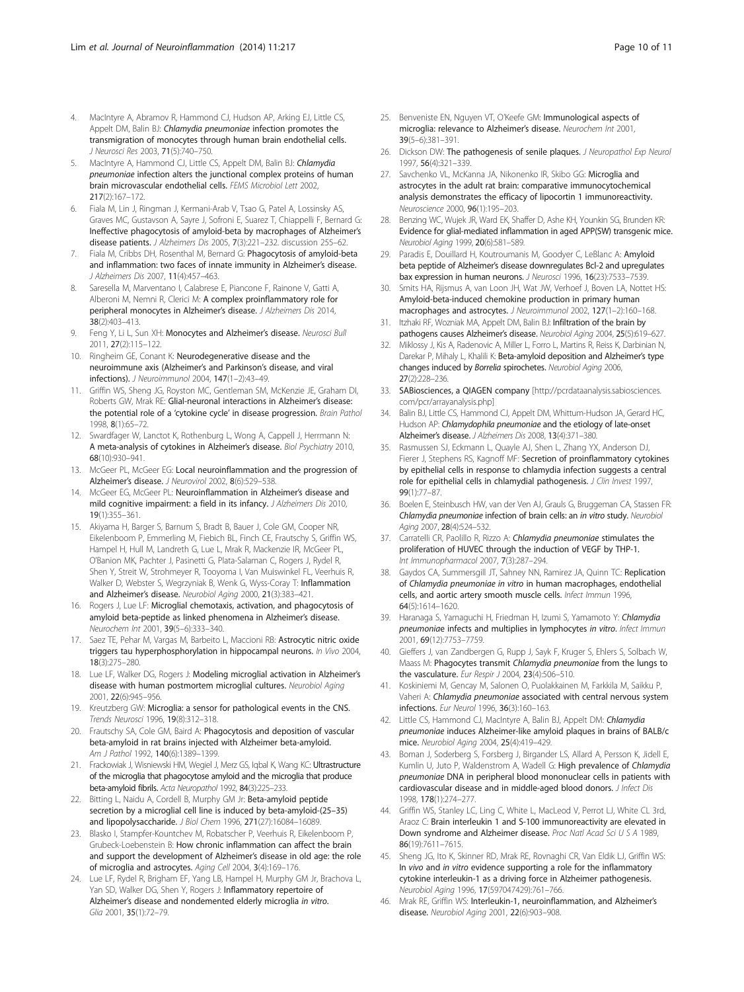- <span id="page-9-0"></span>4. MacIntyre A, Abramov R, Hammond CJ, Hudson AP, Arking EJ, Little CS, Appelt DM, Balin BJ: Chlamydia pneumoniae infection promotes the transmigration of monocytes through human brain endothelial cells. J Neurosci Res 2003, 71(5):740–750.
- 5. MacIntyre A, Hammond CJ, Little CS, Appelt DM, Balin BJ: Chlamydia pneumoniae infection alters the junctional complex proteins of human brain microvascular endothelial cells. FEMS Microbiol Lett 2002, 217(2):167–172.
- 6. Fiala M, Lin J, Ringman J, Kermani-Arab V, Tsao G, Patel A, Lossinsky AS, Graves MC, Gustavson A, Sayre J, Sofroni E, Suarez T, Chiappelli F, Bernard G: Ineffective phagocytosis of amyloid-beta by macrophages of Alzheimer's disease patients. J Alzheimers Dis 2005, 7(3):221–232. discussion 255–62.
- 7. Fiala M, Cribbs DH, Rosenthal M, Bernard G: Phagocytosis of amyloid-beta and inflammation: two faces of innate immunity in Alzheimer's disease. J Alzheimers Dis 2007, 11(4):457–463.
- Saresella M, Marventano I, Calabrese E, Piancone F, Rainone V, Gatti A, Alberoni M, Nemni R, Clerici M: A complex proinflammatory role for peripheral monocytes in Alzheimer's disease. J Alzheimers Dis 2014, 38(2):403–413.
- 9. Feng Y, Li L, Sun XH: Monocytes and Alzheimer's disease. Neurosci Bull 2011, 27(2):115–122.
- 10. Ringheim GE, Conant K: Neurodegenerative disease and the neuroimmune axis (Alzheimer's and Parkinson's disease, and viral infections). J Neuroimmunol 2004, 147(1–2):43–49.
- 11. Griffin WS, Sheng JG, Royston MC, Gentleman SM, McKenzie JE, Graham DI, Roberts GW, Mrak RE: Glial-neuronal interactions in Alzheimer's disease: the potential role of a 'cytokine cycle' in disease progression. Brain Pathol 1998, 8(1):65–72.
- 12. Swardfager W, Lanctot K, Rothenburg L, Wong A, Cappell J, Herrmann N: A meta-analysis of cytokines in Alzheimer's disease. Biol Psychiatry 2010, 68(10):930–941.
- 13. McGeer PL, McGeer EG: Local neuroinflammation and the progression of Alzheimer's disease. J Neurovirol 2002, 8(6):529–538.
- 14. McGeer EG, McGeer PL: Neuroinflammation in Alzheimer's disease and mild cognitive impairment: a field in its infancy. J Alzheimers Dis 2010, 19(1):355–361.
- 15. Akiyama H, Barger S, Barnum S, Bradt B, Bauer J, Cole GM, Cooper NR, Eikelenboom P, Emmerling M, Fiebich BL, Finch CE, Frautschy S, Griffin WS, Hampel H, Hull M, Landreth G, Lue L, Mrak R, Mackenzie IR, McGeer PL, O'Banion MK, Pachter J, Pasinetti G, Plata-Salaman C, Rogers J, Rydel R, Shen Y, Streit W, Strohmeyer R, Tooyoma I, Van Muiswinkel FL, Veerhuis R, Walker D, Webster S, Wegrzyniak B, Wenk G, Wyss-Coray T: Inflammation and Alzheimer's disease. Neurobiol Aging 2000, 21(3):383–421.
- 16. Rogers J, Lue LF: Microglial chemotaxis, activation, and phagocytosis of amyloid beta-peptide as linked phenomena in Alzheimer's disease. Neurochem Int 2001, 39(5–6):333–340.
- 17. Saez TE, Pehar M, Vargas M, Barbeito L, Maccioni RB: Astrocytic nitric oxide triggers tau hyperphosphorylation in hippocampal neurons. In Vivo 2004, 18(3):275–280.
- 18. Lue LF, Walker DG, Rogers J: Modeling microglial activation in Alzheimer's disease with human postmortem microglial cultures. Neurobiol Aging 2001, 22(6):945–956.
- 19. Kreutzberg GW: Microglia: a sensor for pathological events in the CNS. Trends Neurosci 1996, 19(8):312–318.
- 20. Frautschy SA, Cole GM, Baird A: Phagocytosis and deposition of vascular beta-amyloid in rat brains injected with Alzheimer beta-amyloid. Am J Pathol 1992, 140(6):1389-1399.
- 21. Frackowiak J, Wisniewski HM, Wegiel J, Merz GS, Iqbal K, Wang KC: Ultrastructure of the microglia that phagocytose amyloid and the microglia that produce beta-amyloid fibrils. Acta Neuropathol 1992, 84(3):225–233.
- 22. Bitting L, Naidu A, Cordell B, Murphy GM Jr: Beta-amyloid peptide secretion by a microglial cell line is induced by beta-amyloid-(25–35) and lipopolysaccharide. J Biol Chem 1996, 271(27):16084–16089.
- 23. Blasko I, Stampfer-Kountchev M, Robatscher P, Veerhuis R, Eikelenboom P, Grubeck-Loebenstein B: How chronic inflammation can affect the brain and support the development of Alzheimer's disease in old age: the role of microglia and astrocytes. Aging Cell 2004, 3(4):169–176.
- 24. Lue LF, Rydel R, Brigham EF, Yang LB, Hampel H, Murphy GM Jr, Brachova L, Yan SD, Walker DG, Shen Y, Rogers J: Inflammatory repertoire of Alzheimer's disease and nondemented elderly microglia in vitro. Glia 2001, 35(1):72–79.
- 25. Benveniste EN, Nguyen VT, O'Keefe GM: Immunological aspects of microglia: relevance to Alzheimer's disease. Neurochem Int 2001, 39(5–6):381–391.
- 26. Dickson DW: The pathogenesis of senile plaques. J Neuropathol Exp Neurol 1997, 56(4):321–339.
- 27. Savchenko VL, McKanna JA, Nikonenko IR, Skibo GG: Microglia and astrocytes in the adult rat brain: comparative immunocytochemical analysis demonstrates the efficacy of lipocortin 1 immunoreactivity. Neuroscience 2000, 96(1):195–203.
- 28. Benzing WC, Wujek JR, Ward EK, Shaffer D, Ashe KH, Younkin SG, Brunden KR: Evidence for glial-mediated inflammation in aged APP(SW) transgenic mice. Neurobiol Aging 1999, 20(6):581–589.
- 29. Paradis E, Douillard H, Koutroumanis M, Goodyer C, LeBlanc A: Amyloid beta peptide of Alzheimer's disease downregulates Bcl-2 and upregulates bax expression in human neurons. J Neurosci 1996, 16(23):7533–7539.
- 30. Smits HA, Rijsmus A, van Loon JH, Wat JW, Verhoef J, Boven LA, Nottet HS: Amyloid-beta-induced chemokine production in primary human macrophages and astrocytes. J Neuroimmunol 2002, 127(1-2):160-168.
- 31. Itzhaki RF, Wozniak MA, Appelt DM, Balin BJ: Infiltration of the brain by pathogens causes Alzheimer's disease. Neurobiol Aging 2004, 25(5):619-627.
- 32. Miklossy J, Kis A, Radenovic A, Miller L, Forro L, Martins R, Reiss K, Darbinian N, Darekar P, Mihaly L, Khalili K: Beta-amyloid deposition and Alzheimer's type changes induced by Borrelia spirochetes. Neurobiol Aging 2006, 27(2):228–236.
- 33. SABiosciences, a QIAGEN company [\[http://pcrdataanalysis.sabiosciences.](http://pcrdataanalysis.sabiosciences.com/pcr/arrayanalysis.php) [com/pcr/arrayanalysis.php](http://pcrdataanalysis.sabiosciences.com/pcr/arrayanalysis.php)]
- 34. Balin BJ, Little CS, Hammond CJ, Appelt DM, Whittum-Hudson JA, Gerard HC, Hudson AP: Chlamydophila pneumoniae and the etiology of late-onset Alzheimer's disease. J Alzheimers Dis 2008, 13(4):371–380.
- 35. Rasmussen SJ, Eckmann L, Quayle AJ, Shen L, Zhang YX, Anderson DJ, Fierer J, Stephens RS, Kagnoff MF: Secretion of proinflammatory cytokines by epithelial cells in response to chlamydia infection suggests a central role for epithelial cells in chlamydial pathogenesis. J Clin Invest 1997, 99(1):77–87.
- 36. Boelen E, Steinbusch HW, van der Ven AJ, Grauls G, Bruggeman CA, Stassen FR: Chlamydia pneumoniae infection of brain cells: an in vitro study. Neurobiol Aging 2007, 28(4):524-532.
- 37. Carratelli CR, Paolillo R, Rizzo A: Chlamydia pneumoniae stimulates the proliferation of HUVEC through the induction of VEGF by THP-1. Int Immunopharmacol 2007, 7(3):287–294.
- 38. Gaydos CA, Summersgill JT, Sahney NN, Ramirez JA, Quinn TC: Replication of Chlamydia pneumoniae in vitro in human macrophages, endothelial cells, and aortic artery smooth muscle cells. Infect Immun 1996, 64(5):1614–1620.
- 39. Haranaga S, Yamaguchi H, Friedman H, Izumi S, Yamamoto Y: Chlamydia pneumoniae infects and multiplies in lymphocytes in vitro. Infect Immun 2001, 69(12):7753–7759.
- 40. Gieffers J, van Zandbergen G, Rupp J, Sayk F, Kruger S, Ehlers S, Solbach W, Maass M: Phagocytes transmit Chlamydia pneumoniae from the lungs to the vasculature. Eur Respir J 2004, 23(4):506–510.
- 41. Koskiniemi M, Gencay M, Salonen O, Puolakkainen M, Farkkila M, Saikku P, Vaheri A: Chlamydia pneumoniae associated with central nervous system infections. Eur Neurol 1996, 36(3):160–163.
- 42. Little CS, Hammond CJ, MacIntyre A, Balin BJ, Appelt DM: Chlamydia pneumoniae induces Alzheimer-like amyloid plaques in brains of BALB/c mice. Neurobiol Aging 2004, 25(4):419–429.
- 43. Boman J, Soderberg S, Forsberg J, Birgander LS, Allard A, Persson K, Jidell E, Kumlin U, Juto P, Waldenstrom A, Wadell G: High prevalence of Chlamydia pneumoniae DNA in peripheral blood mononuclear cells in patients with cardiovascular disease and in middle-aged blood donors. J Infect Dis 1998, 178(1):274–277.
- 44. Griffin WS, Stanley LC, Ling C, White L, MacLeod V, Perrot LJ, White CL 3rd, Araoz C: Brain interleukin 1 and S-100 immunoreactivity are elevated in Down syndrome and Alzheimer disease. Proc Natl Acad Sci U S A 1989, 86(19):7611–7615.
- 45. Sheng JG, Ito K, Skinner RD, Mrak RE, Rovnaghi CR, Van Eldik LJ, Griffin WS: In vivo and in vitro evidence supporting a role for the inflammatory cytokine interleukin-1 as a driving force in Alzheimer pathogenesis. Neurobiol Aging 1996, 17(597047429):761–766.
- 46. Mrak RE, Griffin WS: Interleukin-1, neuroinflammation, and Alzheimer's disease. Neurobiol Aging 2001, 22(6):903–908.